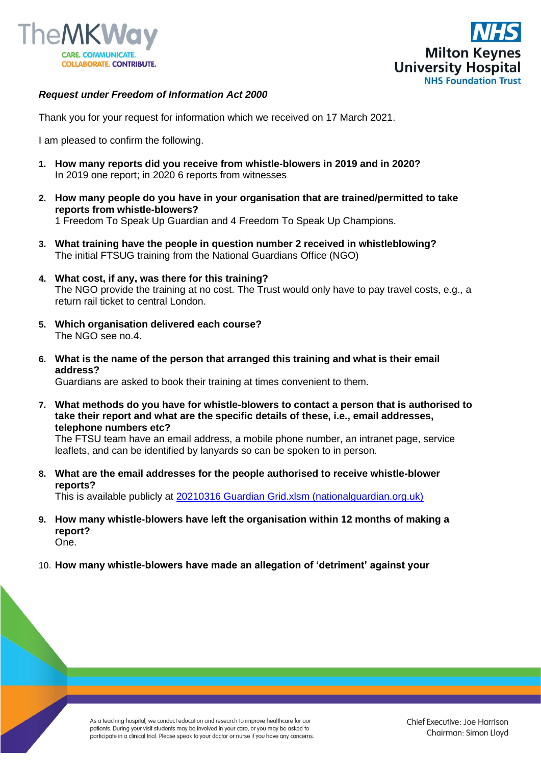



## *Request under Freedom of Information Act 2000*

Thank you for your request for information which we received on 17 March 2021.

I am pleased to confirm the following.

- **1. How many reports did you receive from whistle-blowers in 2019 and in 2020?** In 2019 one report; in 2020 6 reports from witnesses
- **2. How many people do you have in your organisation that are trained/permitted to take reports from whistle-blowers?**  1 Freedom To Speak Up Guardian and 4 Freedom To Speak Up Champions.

**3. What training have the people in question number 2 received in whistleblowing?**  The initial FTSUG training from the National Guardians Office (NGO)

- **4. What cost, if any, was there for this training?**  The NGO provide the training at no cost. The Trust would only have to pay travel costs, e.g., a return rail ticket to central London.
- **5. Which organisation delivered each course?**  The NGO see no.4.
- **6. What is the name of the person that arranged this training and what is their email address?**

Guardians are asked to book their training at times convenient to them.

**7. What methods do you have for whistle-blowers to contact a person that is authorised to take their report and what are the specific details of these, i.e., email addresses, telephone numbers etc?** 

The FTSU team have an email address, a mobile phone number, an intranet page, service leaflets, and can be identified by lanyards so can be spoken to in person.

**8. What are the email addresses for the people authorised to receive whistle-blower reports?**

This is available publicly at [20210316 Guardian Grid.xlsm \(nationalguardian.org.uk\)](https://gbr01.safelinks.protection.outlook.com/?url=https%3A%2F%2Fwww.nationalguardian.org.uk%2Fwp-content%2Fuploads%2F2021%2F03%2F17-mar-ftsugs.pdf&data=04%7C01%7CFoi.PublicationSchemeCo-ordinator%40mkuh.nhs.uk%7C2f8b4fcd91d643cd1c5308d8ead0df59%7Ce96dd0a15d474a949e4a5c1056daa82c%7C0%7C0%7C637517530104169283%7CUnknown%7CTWFpbGZsb3d8eyJWIjoiMC4wLjAwMDAiLCJQIjoiV2luMzIiLCJBTiI6Ik1haWwiLCJXVCI6Mn0%3D%7C1000&sdata=EPgQeyTjKgYTc514ikCzMBtMvlyGrokfpmwuwAC4bVs%3D&reserved=0)

**9. How many whistle-blowers have left the organisation within 12 months of making a report?**  One.

10. **How many whistle-blowers have made an allegation of 'detriment' against your** 

As a teaching hospital, we conduct education and research to improve healthcare for our patients. During your visit students may be involved in your care, or you may be asked to participate in a clinical trial. Please speak to your doctor or nurse if you have any concerns.